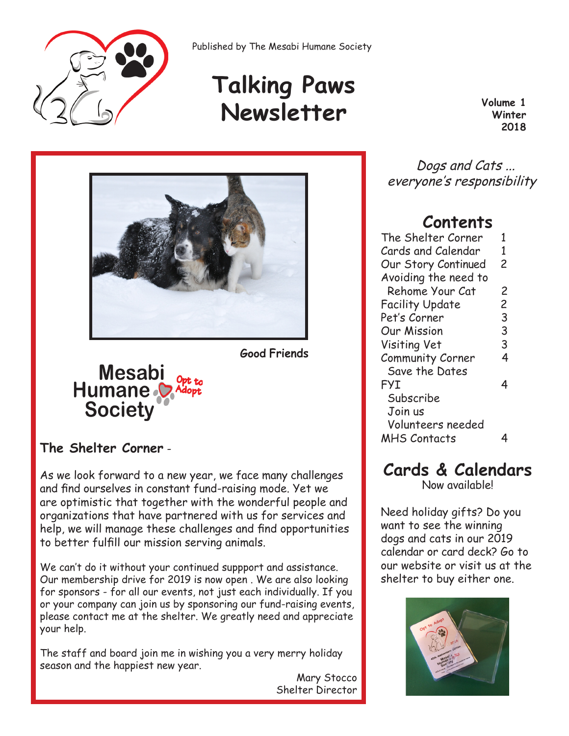

Published by The Mesabi Humane Society

# **Talking Paws Newsletter Volume 1 Volume 1**

**Winter 2018**



**Good Friends**

# Mesabi<br>Humane **Society**

### **The Shelter Corner** -

As we look forward to a new year, we face many challenges and find ourselves in constant fund-raising mode. Yet we are optimistic that together with the wonderful people and organizations that have partnered with us for services and help, we will manage these challenges and find opportunities to better fulfill our mission serving animals.

We can't do it without your continued suppport and assistance. Our membership drive for 2019 is now open . We are also looking for sponsors - for all our events, not just each individually. If you or your company can join us by sponsoring our fund-raising events, please contact me at the shelter. We greatly need and appreciate your help.

The staff and board join me in wishing you a very merry holiday season and the happiest new year.

Mary Stocco Shelter Director

 Dogs and Cats ... everyone's responsibility

### **Contents**

| The Shelter Corner     | 1              |
|------------------------|----------------|
| Cards and Calendar     | 1              |
| Our Story Continued    | 2              |
| Avoiding the need to   |                |
| Rehome Your Cat        | 2              |
| <b>Facility Update</b> | $\overline{c}$ |
| Pet's Corner           | 3              |
| Our Mission            | 3              |
| Visiting Vet           | 3              |
| Community Corner       | 4              |
| Save the Dates         |                |
| FYI                    | 4              |
| Subscribe              |                |
| Join us                |                |
| Volunteers needed      |                |
| <b>MHS Contacts</b>    |                |
|                        |                |

# **Cards & Calendars**

Now available!

Need holiday gifts? Do you want to see the winning dogs and cats in our 2019 calendar or card deck? Go to our website or visit us at the shelter to buy either one.

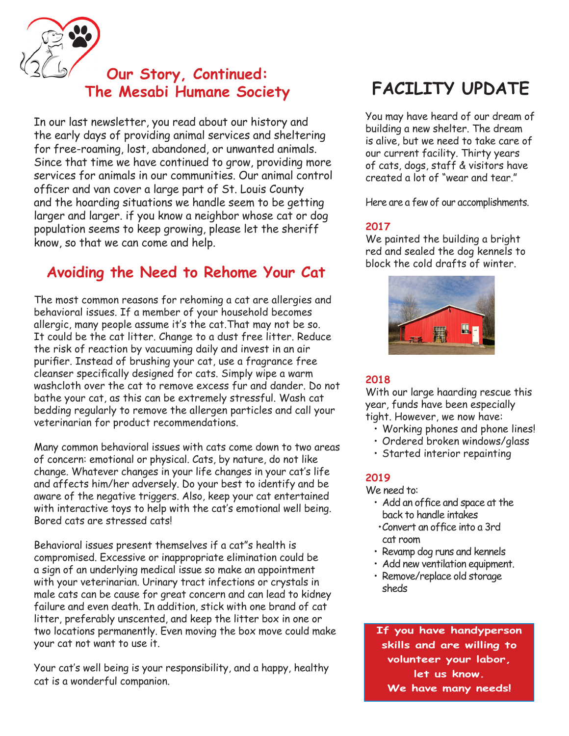**Our Story, Continued: The Mesabi Humane Society** 

In our last newsletter, you read about our history and the early days of providing animal services and sheltering for free-roaming, lost, abandoned, or unwanted animals. Since that time we have continued to grow, providing more services for animals in our communities. Our animal control officer and van cover a large part of St. Louis County and the hoarding situations we handle seem to be getting larger and larger. if you know a neighbor whose cat or dog population seems to keep growing, please let the sheriff know, so that we can come and help.

## **Avoiding the Need to Rehome Your Cat**

The most common reasons for rehoming a cat are allergies and behavioral issues. If a member of your household becomes allergic, many people assume it's the cat.That may not be so. It could be the cat litter. Change to a dust free litter. Reduce the risk of reaction by vacuuming daily and invest in an air purifier. Instead of brushing your cat, use a fragrance free cleanser specifically designed for cats. Simply wipe a warm washcloth over the cat to remove excess fur and dander. Do not bathe your cat, as this can be extremely stressful. Wash cat bedding regularly to remove the allergen particles and call your veterinarian for product recommendations.

Many common behavioral issues with cats come down to two areas of concern: emotional or physical. Cats, by nature, do not like change. Whatever changes in your life changes in your cat's life and affects him/her adversely. Do your best to identify and be aware of the negative triggers. Also, keep your cat entertained with interactive toys to help with the cat's emotional well being. Bored cats are stressed cats!

Behavioral issues present themselves if a cat"s health is compromised. Excessive or inappropriate elimination could be a sign of an underlying medical issue so make an appointment with your veterinarian. Urinary tract infections or crystals in male cats can be cause for great concern and can lead to kidney failure and even death. In addition, stick with one brand of cat litter, preferably unscented, and keep the litter box in one or two locations permanently. Even moving the box move could make your cat not want to use it.

Your cat's well being is your responsibility, and a happy, healthy cat is a wonderful companion.

# **FACILITY UPDATE**

You may have heard of our dream of building a new shelter. The dream is alive, but we need to take care of our current facility. Thirty years of cats, dogs, staff & visitors have created a lot of "wear and tear."

Here are a few of our accomplishments.

#### **2017**

We painted the building a bright red and sealed the dog kennels to block the cold drafts of winter.



#### **2018**

With our large haarding rescue this year, funds have been especially tight. However, we now have:

- Working phones and phone lines!
- Ordered broken windows/glass
- Started interior repainting

#### **2019**

We need to:

- Add an office and space at the back to handle intakes
- •Convert an office into a 3rd cat room
- Revamp dog runs and kennels
- Add new ventilation equipment.
- Remove/replace old storage sheds

**If you have handyperson skills and are willing to volunteer your labor, let us know. We have many needs!**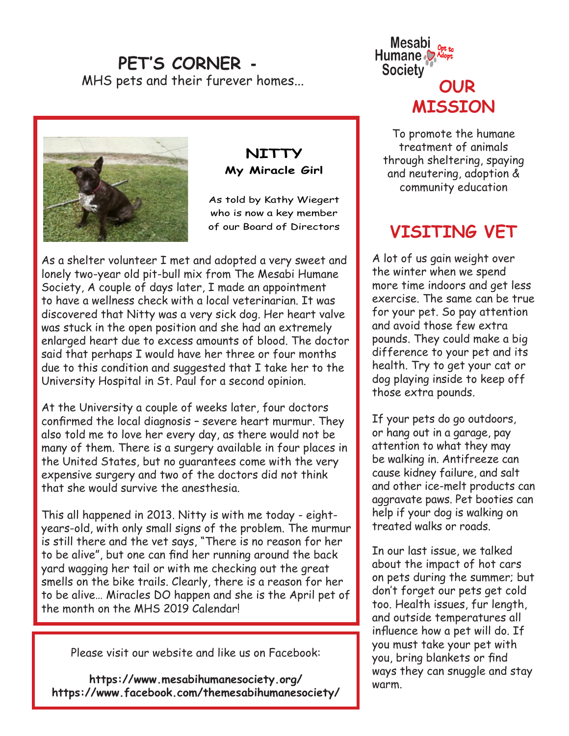### **PET'S CORNER -** MHS pets and their furever homes...



### **NITTY My Miracle Girl**

As told by Kathy Wiegert who is now a key member of our Board of Directors

As a shelter volunteer I met and adopted a very sweet and lonely two-year old pit-bull mix from The Mesabi Humane Society, A couple of days later, I made an appointment to have a wellness check with a local veterinarian. It was discovered that Nitty was a very sick dog. Her heart valve was stuck in the open position and she had an extremely enlarged heart due to excess amounts of blood. The doctor said that perhaps I would have her three or four months due to this condition and suggested that I take her to the University Hospital in St. Paul for a second opinion.

At the University a couple of weeks later, four doctors confirmed the local diagnosis – severe heart murmur. They also told me to love her every day, as there would not be many of them. There is a surgery available in four places in the United States, but no guarantees come with the very expensive surgery and two of the doctors did not think that she would survive the anesthesia.

This all happened in 2013. Nitty is with me today - eightyears-old, with only small signs of the problem. The murmur is still there and the vet says, "There is no reason for her to be alive", but one can find her running around the back yard wagging her tail or with me checking out the great smells on the bike trails. Clearly, there is a reason for her to be alive… Miracles DO happen and she is the April pet of the month on the MHS 2019 Calendar!

Please visit our website and like us on Facebook:

**https://www.mesabihumanesociety.org/ https://www.facebook.com/themesabihumanesociety/**



To promote the humane treatment of animals through sheltering, spaying and neutering, adoption & community education

# **VISITING VET**

A lot of us gain weight over the winter when we spend more time indoors and get less exercise. The same can be true for your pet. So pay attention and avoid those few extra pounds. They could make a big difference to your pet and its health. Try to get your cat or dog playing inside to keep off those extra pounds.

If your pets do go outdoors, or hang out in a garage, pay attention to what they may be walking in. Antifreeze can cause kidney failure, and salt and other ice-melt products can aggravate paws. Pet booties can help if your dog is walking on treated walks or roads.

In our last issue, we talked about the impact of hot cars on pets during the summer; but don't forget our pets get cold too. Health issues, fur length, and outside temperatures all influence how a pet will do. If you must take your pet with you, bring blankets or find ways they can snuggle and stay warm.